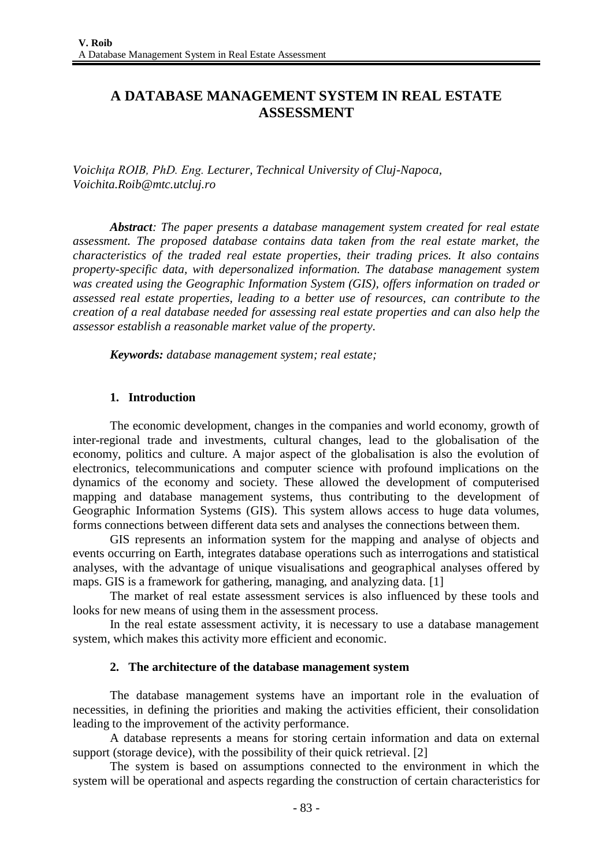# **A DATABASE MANAGEMENT SYSTEM IN REAL ESTATE ASSESSMENT**

*Voichiţa ROIB, PhD. Eng. Lecturer, Technical University of Cluj-Napoca, Voichita.Roib@mtc.utcluj.ro*

*Abstract: The paper presents a database management system created for real estate assessment. The proposed database contains data taken from the real estate market, the characteristics of the traded real estate properties, their trading prices. It also contains property-specific data, with depersonalized information. The database management system was created using the Geographic Information System (GIS), offers information on traded or assessed real estate properties, leading to a better use of resources, can contribute to the creation of a real database needed for assessing real estate properties and can also help the assessor establish a reasonable market value of the property.*

*Keywords: database management system; real estate;*

### **1. Introduction**

The economic development, changes in the companies and world economy, growth of inter-regional trade and investments, cultural changes, lead to the globalisation of the economy, politics and culture. A major aspect of the globalisation is also the evolution of electronics, telecommunications and computer science with profound implications on the dynamics of the economy and society. These allowed the development of computerised mapping and database management systems, thus contributing to the development of Geographic Information Systems (GIS). This system allows access to huge data volumes, forms connections between different data sets and analyses the connections between them.

GIS represents an information system for the mapping and analyse of objects and events occurring on Earth, integrates database operations such as interrogations and statistical analyses, with the advantage of unique visualisations and geographical analyses offered by maps. GIS is a framework for gathering, managing, and analyzing data. [1]

The market of real estate assessment services is also influenced by these tools and looks for new means of using them in the assessment process.

In the real estate assessment activity, it is necessary to use a database management system, which makes this activity more efficient and economic.

### **2. The architecture of the database management system**

The database management systems have an important role in the evaluation of necessities, in defining the priorities and making the activities efficient, their consolidation leading to the improvement of the activity performance.

A database represents a means for storing certain information and data on external support (storage device), with the possibility of their quick retrieval. [2]

The system is based on assumptions connected to the environment in which the system will be operational and aspects regarding the construction of certain characteristics for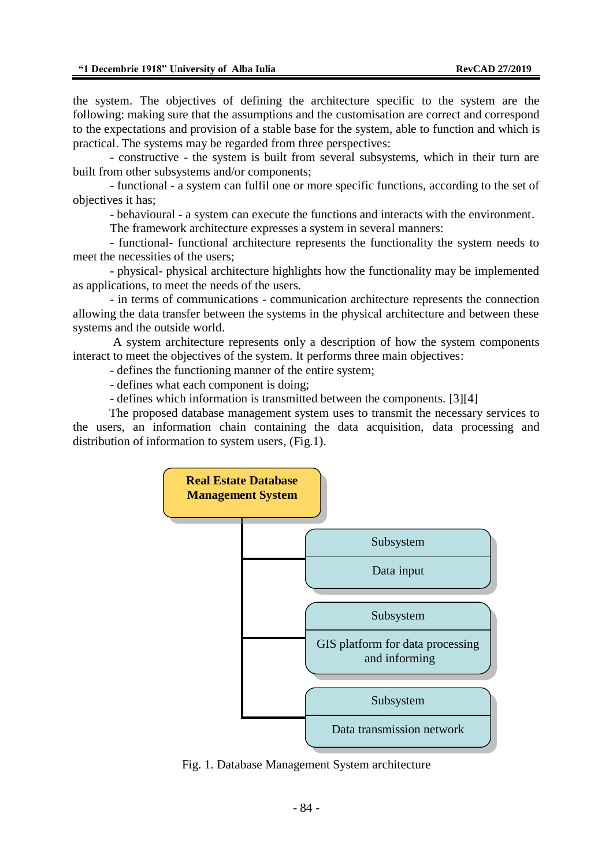the system. The objectives of defining the architecture specific to the system are the following: making sure that the assumptions and the customisation are correct and correspond to the expectations and provision of a stable base for the system, able to function and which is practical. The systems may be regarded from three perspectives:

- constructive - the system is built from several subsystems, which in their turn are built from other subsystems and/or components;

- functional - a system can fulfil one or more specific functions, according to the set of objectives it has;

- behavioural - a system can execute the functions and interacts with the environment.

The framework architecture expresses a system in several manners:

- functional- functional architecture represents the functionality the system needs to meet the necessities of the users;

- physical- physical architecture highlights how the functionality may be implemented as applications, to meet the needs of the users.

- in terms of communications - communication architecture represents the connection allowing the data transfer between the systems in the physical architecture and between these systems and the outside world.

A system architecture represents only a description of how the system components interact to meet the objectives of the system. It performs three main objectives:

- defines the functioning manner of the entire system;

- defines what each component is doing;

- defines which information is transmitted between the components. [3][4]

The proposed database management system uses to transmit the necessary services to the users, an information chain containing the data acquisition, data processing and distribution of information to system users, (Fig.1).



Fig. 1. Database Management System architecture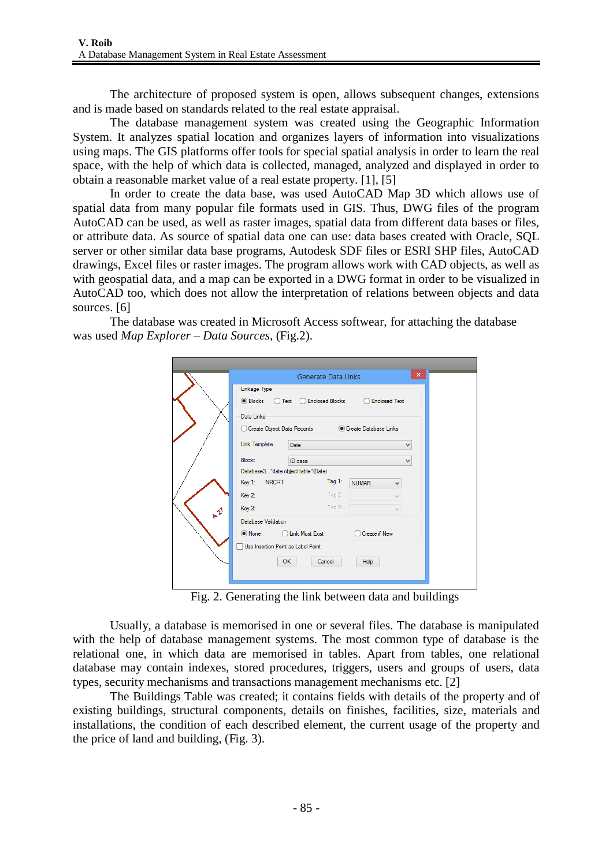The architecture of proposed system is open, allows subsequent changes, extensions and is made based on standards related to the real estate appraisal.

The database management system was created using the Geographic Information System. It analyzes spatial location and organizes layers of information into visualizations using maps. The GIS platforms offer tools for special spatial analysis in order to learn the real space, with the help of which data is collected, managed, analyzed and displayed in order to obtain a reasonable market value of a real estate property. [1], [5]

In order to create the data base, was used AutoCAD Map 3D which allows use of spatial data from many popular file formats used in GIS. Thus, DWG files of the program AutoCAD can be used, as well as raster images, spatial data from different data bases or files, or attribute data. As source of spatial data one can use: data bases created with Oracle, SQL server or other similar data base programs, Autodesk SDF files or ESRI SHP files, AutoCAD drawings, Excel files or raster images. The program allows work with CAD objects, as well as with geospatial data, and a map can be exported in a DWG format in order to be visualized in AutoCAD too, which does not allow the interpretation of relations between objects and data sources. [6]

The database was created in Microsoft Access softwear, for attaching the database was used *Map Explorer – Data Sources*, (Fig.2).

| Linkage Type                       | <b>Generate Data Links</b>                           |                      | $\pmb{\times}$ |
|------------------------------------|------------------------------------------------------|----------------------|----------------|
| <b>● Blocks</b>                    | ◯ Text ◯ Enclosed Blocks                             | <b>Enclosed Text</b> |                |
| Data Links                         | ○ Create Object Data Records ● Create Database Links |                      |                |
| Link Template:                     | Date                                                 |                      | ٧              |
| Block:                             | ID casa                                              |                      | v              |
| Database3"date object table"(Date) |                                                      |                      |                |
| <b>NRCRT</b><br>Key 1:             | Tag 1:                                               | <b>NUMAR</b><br>v    |                |
| Key 2:                             | Tag 2:                                               |                      |                |
| Key 3:                             | Tag 3:                                               |                      |                |
| Database Validation                |                                                      |                      |                |
| ◉ None                             | ◯ Link Must Exist                                    | Create if New        |                |
| Use Insertion Point as Label Point |                                                      |                      |                |
|                                    | <b>OK</b><br>Cancel                                  | Help                 |                |

Fig. 2. Generating the link between data and buildings

Usually, a database is memorised in one or several files. The database is manipulated with the help of database management systems. The most common type of database is the relational one, in which data are memorised in tables. Apart from tables, one relational database may contain indexes, stored procedures, triggers, users and groups of users, data types, security mechanisms and transactions management mechanisms etc. [2]

The Buildings Table was created; it contains fields with details of the property and of existing buildings, structural components, details on finishes, facilities, size, materials and installations, the condition of each described element, the current usage of the property and the price of land and building, (Fig. 3).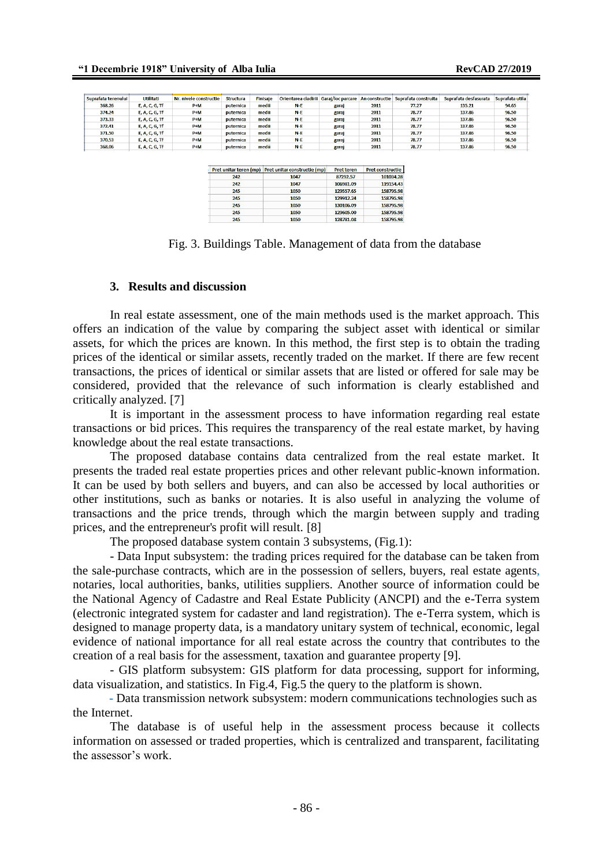| Suprafata terenului | Utilitati      | Nr. nivele constructie | <b>Structura</b> | Finisaie | Orientarea cladirii | Garai/loc parcare | An constructie | Suprafata construita | Suprafata desfasurata | Suprafata utila |
|---------------------|----------------|------------------------|------------------|----------|---------------------|-------------------|----------------|----------------------|-----------------------|-----------------|
| 368.26              | E, A, C, G, Tf | $P+M$                  | puternica        | medii    | $N-E$               | garaj             | 2011           | 77.27                | 135.21                | 94.65           |
| 374.24              | E, A, C, G, Tf | $P+M$                  | puternica        | medii    | $N-E$               | garaj             | 2011           | 78.77                | 137.86                | 96.50           |
| 373.33              | E, A, C, G, Tf | $P+M$                  | puternica        | medii    | $N-E$               | garaj             | 2011           | 78.77                | 137.86                | 96.50           |
| 372.41              | E. A. C. G. Tf | $P+M$                  | puternica        | medii    | $N-E$               | garaj             | 2011           | 78.77                | 137.86                | 96.50           |
| 371.50              | E, A, C, G, Tf | $P+M$                  | puternica        | medii    | $N-E$               | garaj             | 2011           | 78.77                | 137.86                | 96.50           |
| 370.53              | E, A, C, G, Tf | $P+M$                  | puternica        | medii    | $N-E$               | garaj             | 2011           | 78.77                | 137.86                | 96.50           |
| 368.06              | E, A, C, G, Tf | $P+M$                  | puternica        | medii    | $N-E$               | garaj             | 2011           | 78.77                | 137.86                | 96.50           |
|                     |                |                        |                  |          |                     |                   |                |                      |                       |                 |

| Pret unitar teren (mp) | Pret unitar constructie (mp) | <b>Pret teren</b> | <b>Pret constructie</b> |
|------------------------|------------------------------|-------------------|-------------------------|
| 242                    | 1047                         | 87292.57          | 101034.28               |
| 242                    | 1047                         | 106981.09         | 119154.43               |
| 245                    | 1050                         | 129557.65         | 158795.98               |
| 245                    | 1050                         | 129912.24         | 158795.98               |
| 245                    | 1050                         | 130106.09         | 158795.98               |
| 245                    | 1050                         | 129605.00         | 158795.98               |
| 245                    | 1050                         | 128781.08         | 158795.98               |

Fig. 3. Buildings Table. Management of data from the database

#### **3. Results and discussion**

In real estate assessment, one of the main methods used is the market approach. This offers an indication of the value by comparing the subject asset with identical or similar assets, for which the prices are known. In this method, the first step is to obtain the trading prices of the identical or similar assets, recently traded on the market. If there are few recent transactions, the prices of identical or similar assets that are listed or offered for sale may be considered, provided that the relevance of such information is clearly established and critically analyzed. [7]

It is important in the assessment process to have information regarding real estate transactions or bid prices. This requires the transparency of the real estate market, by having knowledge about the real estate transactions.

The proposed database contains data centralized from the real estate market. It presents the traded real estate properties prices and other relevant public-known information. It can be used by both sellers and buyers, and can also be accessed by local authorities or other institutions, such as banks or notaries. It is also useful in analyzing the volume of transactions and the price trends, through which the margin between supply and trading prices, and the entrepreneur's profit will result. [8]

The proposed database system contain 3 subsystems, (Fig.1):

- Data Input subsystem: the trading prices required for the database can be taken from the sale-purchase contracts, which are in the possession of sellers, buyers, real estate agents, notaries, local authorities, banks, utilities suppliers. Another source of information could be the National Agency of Cadastre and Real Estate Publicity (ANCPI) and the e-Terra system (electronic integrated system for cadaster and land registration). The e-Terra system, which is designed to manage property data, is a mandatory unitary system of technical, economic, legal evidence of national importance for all real estate across the country that contributes to the creation of a real basis for the assessment, taxation and guarantee property [9].

- GIS platform subsystem: GIS platform for data processing, support for informing, data visualization, and statistics. In Fig.4, Fig.5 the query to the platform is shown.

- Data transmission network subsystem: modern communications technologies such as the Internet.

The database is of useful help in the assessment process because it collects information on assessed or traded properties, which is centralized and transparent, facilitating the assessor's work.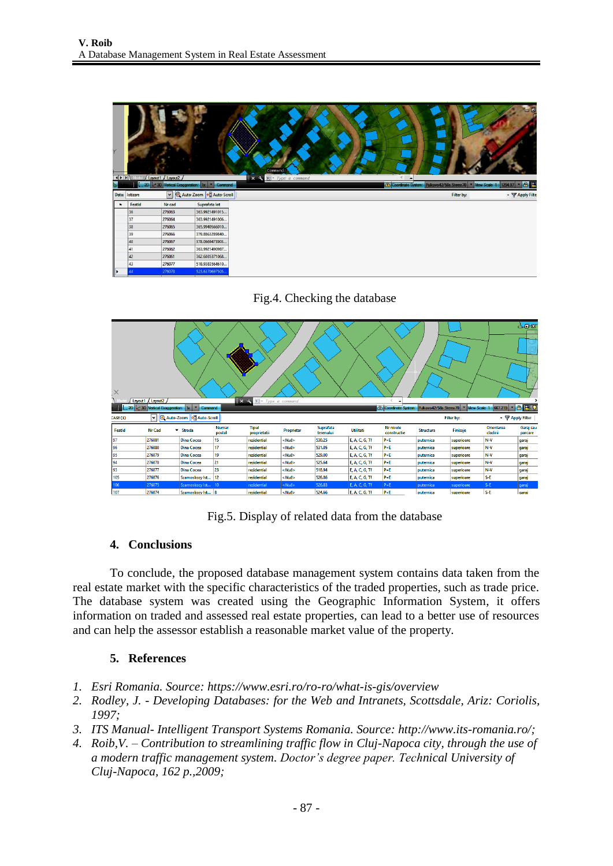| Y      | $\left  \right $ $\left  \right $ $\left  \right $ $\left  \right $ $\left  \right $ $\left  \right $ $\left  \right $ $\left  \right $ $\left  \right $ $\left  \right $ $\left  \right $ $\left  \right $ $\left  \right $ $\left  \right $ $\left  \right $ $\left  \right $ $\left  \right $ $\left  \right $ $\left  \right $ $\left  \right $ $\left  \right $ $\left  \right $ $\left  \right $ $\left  \right $ $\left  \$ | Layout1 ( Layout2 /              |                                  | Command:<br>$\sqrt{2}$ = Type a command<br>R.<br>$\mathbf{x}$<br>x | $\overline{\phantom{a}}$               | $= 0$                |
|--------|------------------------------------------------------------------------------------------------------------------------------------------------------------------------------------------------------------------------------------------------------------------------------------------------------------------------------------------------------------------------------------------------------------------------------------|----------------------------------|----------------------------------|--------------------------------------------------------------------|----------------------------------------|----------------------|
| è.     |                                                                                                                                                                                                                                                                                                                                                                                                                                    | 2D <3D Vertical Exaggeration: 1x | Command<br>$\sim$                | Coordinate System:                                                 | View Scale 1<br>Pulkovo42/58a.Stereo70 | <b>AR</b><br>1294.97 |
|        | Data: lotizare                                                                                                                                                                                                                                                                                                                                                                                                                     |                                  | Auto-Zoom 6 Auto-Scroll          |                                                                    | Filter by:                             | - P Apply Filte      |
| $\sim$ | Featld                                                                                                                                                                                                                                                                                                                                                                                                                             | Nr cad                           | Suprafata lot                    |                                                                    |                                        |                      |
|        | 36                                                                                                                                                                                                                                                                                                                                                                                                                                 | 276063                           | 363.9921491015                   |                                                                    |                                        |                      |
|        | 37                                                                                                                                                                                                                                                                                                                                                                                                                                 |                                  |                                  |                                                                    |                                        |                      |
|        |                                                                                                                                                                                                                                                                                                                                                                                                                                    | 276064                           | 363.9921491006                   |                                                                    |                                        |                      |
|        | 38                                                                                                                                                                                                                                                                                                                                                                                                                                 | 276065                           | 365.9940566010                   |                                                                    |                                        |                      |
|        | 39                                                                                                                                                                                                                                                                                                                                                                                                                                 | 276066                           | 379.8863289840                   |                                                                    |                                        |                      |
|        | 40                                                                                                                                                                                                                                                                                                                                                                                                                                 | 276067                           | 378.0669473903                   |                                                                    |                                        |                      |
|        | 41                                                                                                                                                                                                                                                                                                                                                                                                                                 | 276062                           | 363.9921490987                   |                                                                    |                                        |                      |
|        | 42                                                                                                                                                                                                                                                                                                                                                                                                                                 | 276061                           | 362.6035371068                   |                                                                    |                                        |                      |
|        | 43                                                                                                                                                                                                                                                                                                                                                                                                                                 | 276077<br>276078                 | 518.9383564610<br>525.6370697505 |                                                                    |                                        |                      |

Fig.4. Checking the database



Fig.5. Display of related data from the database

# **4. Conclusions**

To conclude, the proposed database management system contains data taken from the real estate market with the specific characteristics of the traded properties, such as trade price. The database system was created using the Geographic Information System, it offers information on traded and assessed real estate properties, can lead to a better use of resources and can help the assessor establish a reasonable market value of the property.

# **5. References**

- *1. Esri Romania. Source: https://www.esri.ro/ro-ro/what-is-gis/overview*
- *2. Rodley, J. - Developing Databases: for the Web and Intranets, Scottsdale, Ariz: Coriolis, 1997;*
- *3. ITS Manual- Intelligent Transport Systems Romania. Source: [http://www.its-romania.ro/;](http://www.its-romania.ro/)*
- *4. Roib,V. – Contribution to streamlining traffic flow in Cluj-Napoca city, through the use of a modern traffic management system. Doctor's degree paper. Technical University of Cluj-Napoca, 162 p.,2009;*